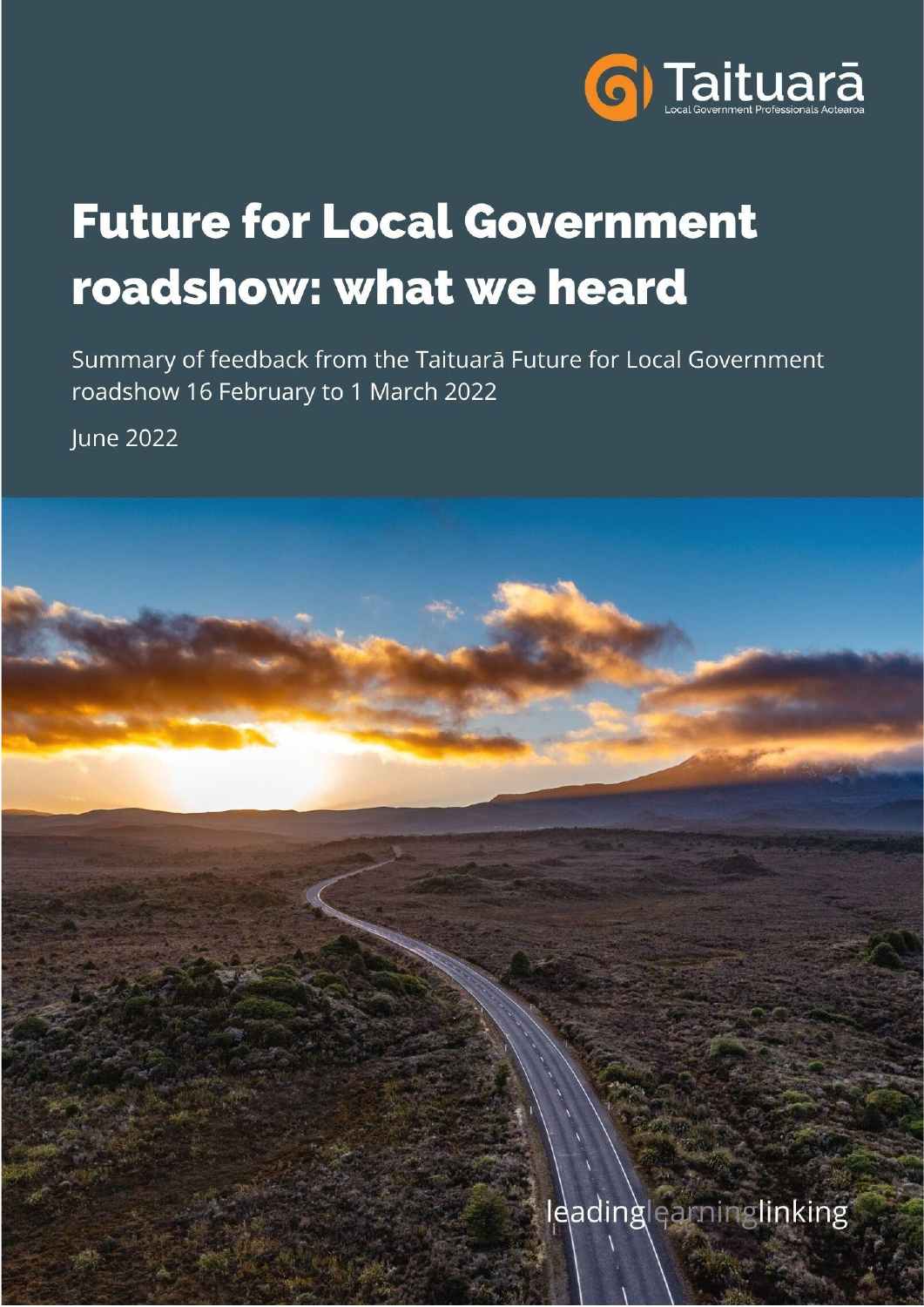

# **Future for Local Government** roadshow: what we heard

Summary of feedback from the Taituarā Future for Local Government roadshow 16 February to 1 March 2022

**lune 2022** 



Ieadinglearninglinking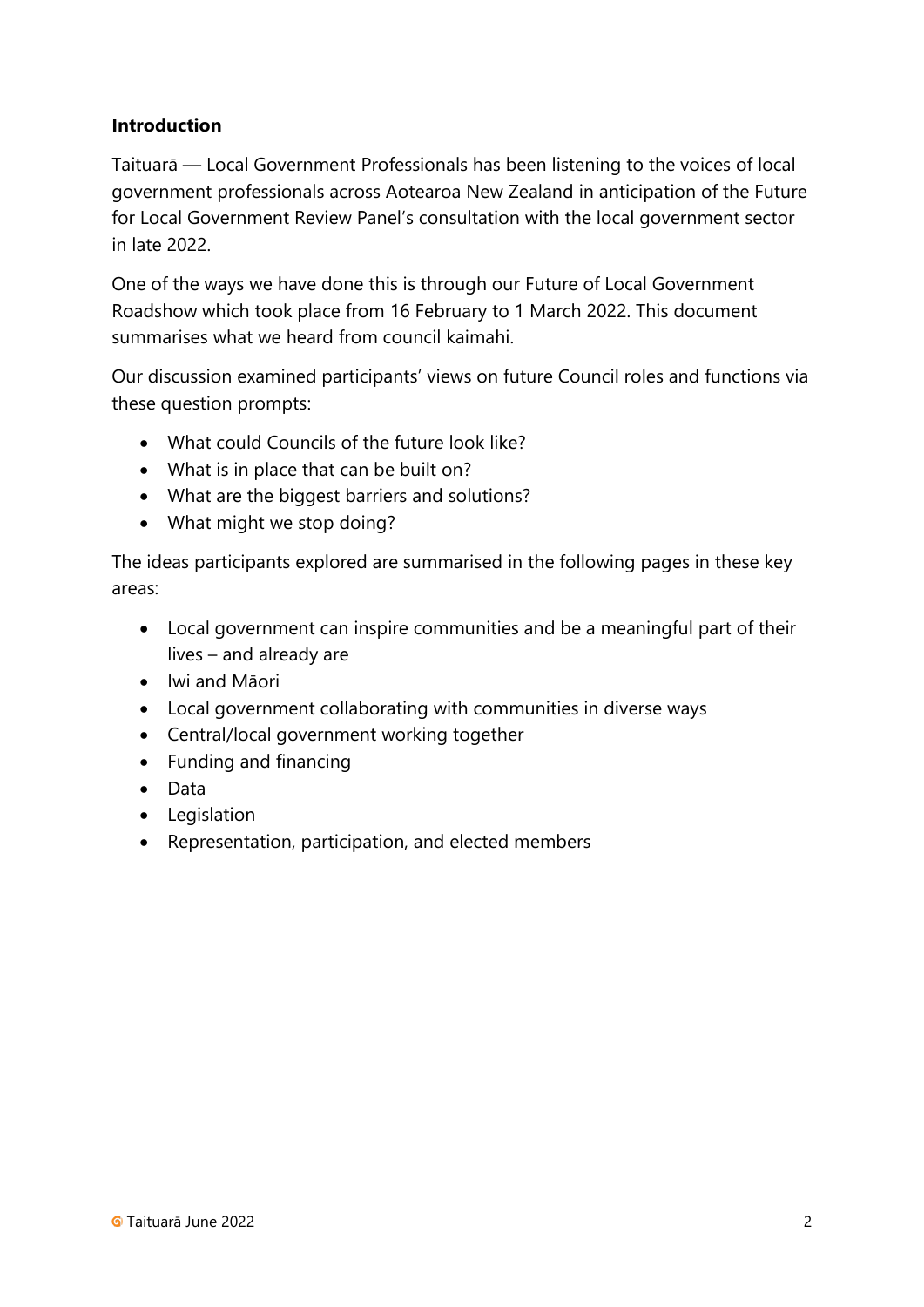#### **Introduction**

Taituarā — Local Government Professionals has been listening to the voices of local government professionals across Aotearoa New Zealand in anticipation of the Future for Local Government Review Panel's consultation with the local government sector in late 2022.

One of the ways we have done this is through our Future of Local Government Roadshow which took place from 16 February to 1 March 2022. This document summarises what we heard from council kaimahi.

Our discussion examined participants' views on future Council roles and functions via these question prompts:

- What could Councils of the future look like?
- What is in place that can be built on?
- What are the biggest barriers and solutions?
- What might we stop doing?

The ideas participants explored are summarised in the following pages in these key areas:

- Local government can inspire communities and be a meaningful part of their lives – and already are
- Iwi and Māori
- Local government collaborating with communities in diverse ways
- Central/local government working together
- Funding and financing
- Data
- Legislation
- Representation, participation, and elected members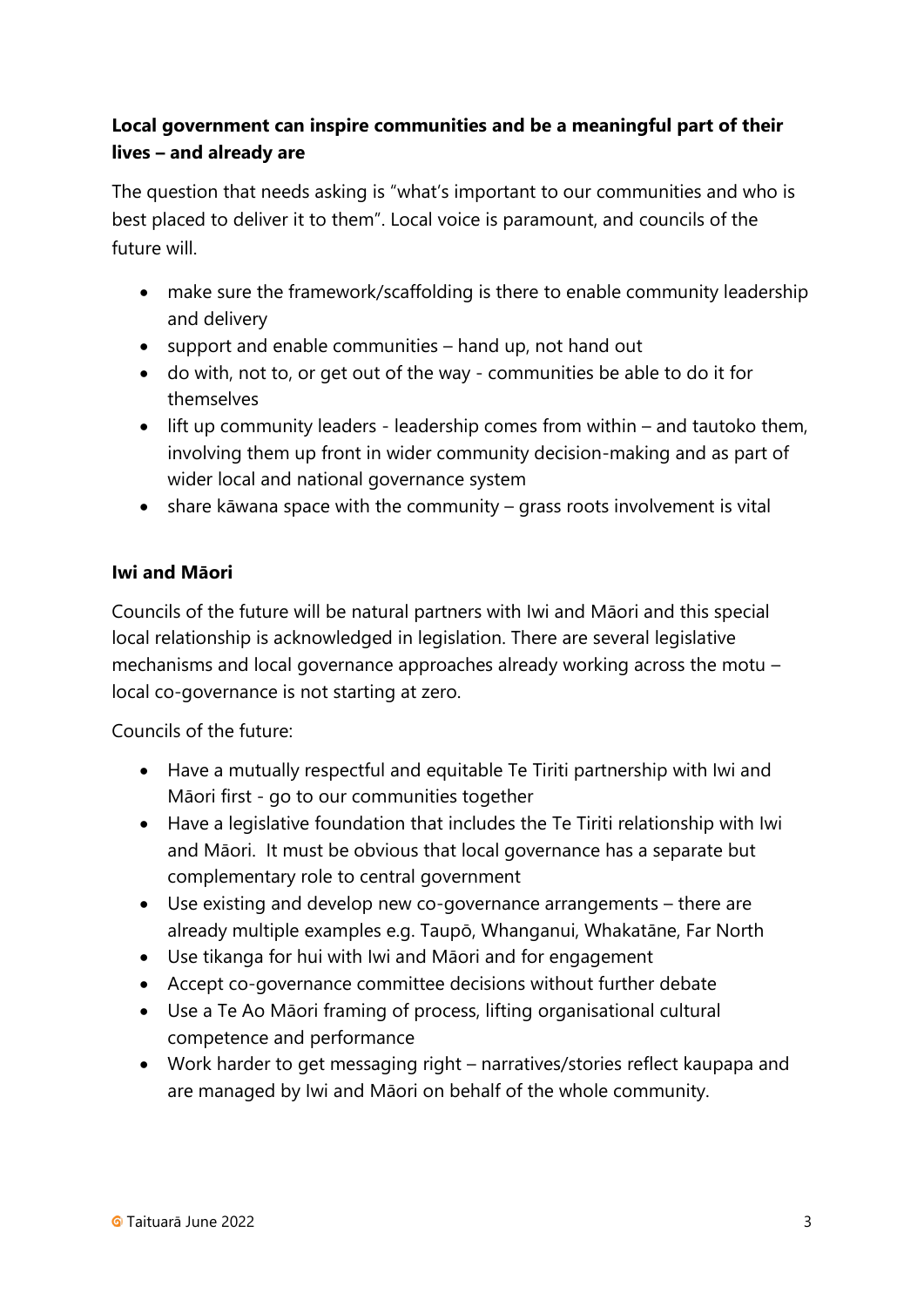# **Local government can inspire communities and be a meaningful part of their lives – and already are**

The question that needs asking is "what's important to our communities and who is best placed to deliver it to them". Local voice is paramount, and councils of the future will.

- make sure the framework/scaffolding is there to enable community leadership and delivery
- support and enable communities hand up, not hand out
- do with, not to, or get out of the way communities be able to do it for themselves
- lift up community leaders leadership comes from within and tautoko them, involving them up front in wider community decision-making and as part of wider local and national governance system
- share kāwana space with the community grass roots involvement is vital

#### **Iwi and Māori**

Councils of the future will be natural partners with Iwi and Māori and this special local relationship is acknowledged in legislation. There are several legislative mechanisms and local governance approaches already working across the motu – local co-governance is not starting at zero.

Councils of the future:

- Have a mutually respectful and equitable Te Tiriti partnership with Iwi and Māori first - go to our communities together
- Have a legislative foundation that includes the Te Tiriti relationship with Iwi and Māori. It must be obvious that local governance has a separate but complementary role to central government
- Use existing and develop new co-governance arrangements there are already multiple examples e.g. Taupō, Whanganui, Whakatāne, Far North
- Use tikanga for hui with Iwi and Māori and for engagement
- Accept co-governance committee decisions without further debate
- Use a Te Ao Māori framing of process, lifting organisational cultural competence and performance
- Work harder to get messaging right narratives/stories reflect kaupapa and are managed by Iwi and Māori on behalf of the whole community.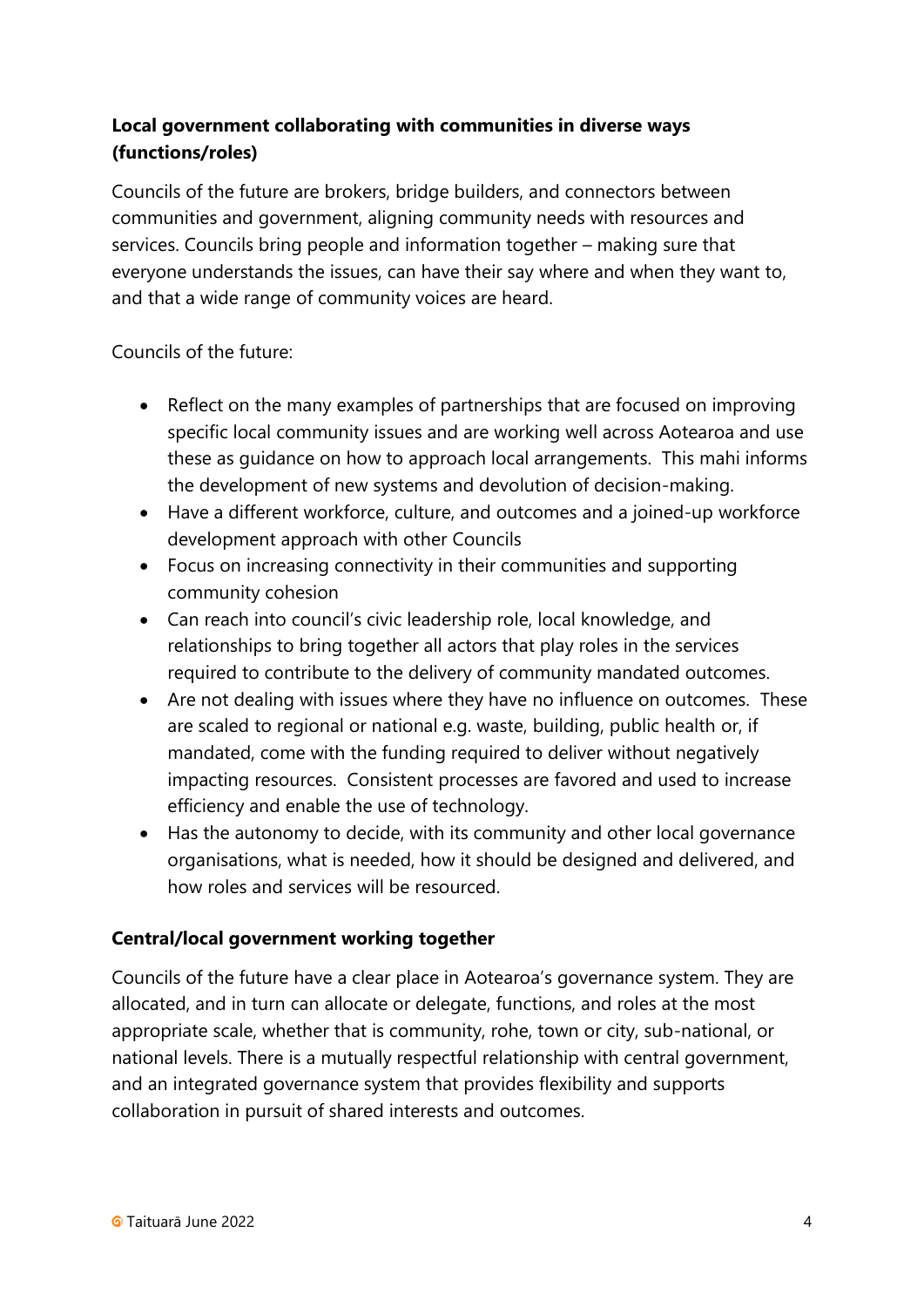# **Local government collaborating with communities in diverse ways (functions/roles)**

Councils of the future are brokers, bridge builders, and connectors between communities and government, aligning community needs with resources and services. Councils bring people and information together – making sure that everyone understands the issues, can have their say where and when they want to, and that a wide range of community voices are heard.

Councils of the future:

- Reflect on the many examples of partnerships that are focused on improving specific local community issues and are working well across Aotearoa and use these as guidance on how to approach local arrangements. This mahi informs the development of new systems and devolution of decision-making.
- Have a different workforce, culture, and outcomes and a joined-up workforce development approach with other Councils
- Focus on increasing connectivity in their communities and supporting community cohesion
- Can reach into council's civic leadership role, local knowledge, and relationships to bring together all actors that play roles in the services required to contribute to the delivery of community mandated outcomes.
- Are not dealing with issues where they have no influence on outcomes. These are scaled to regional or national e.g. waste, building, public health or, if mandated, come with the funding required to deliver without negatively impacting resources. Consistent processes are favored and used to increase efficiency and enable the use of technology.
- Has the autonomy to decide, with its community and other local governance organisations, what is needed, how it should be designed and delivered, and how roles and services will be resourced.

#### **Central/local government working together**

Councils of the future have a clear place in Aotearoa's governance system. They are allocated, and in turn can allocate or delegate, functions, and roles at the most appropriate scale, whether that is community, rohe, town or city, sub-national, or national levels. There is a mutually respectful relationship with central government, and an integrated governance system that provides flexibility and supports collaboration in pursuit of shared interests and outcomes.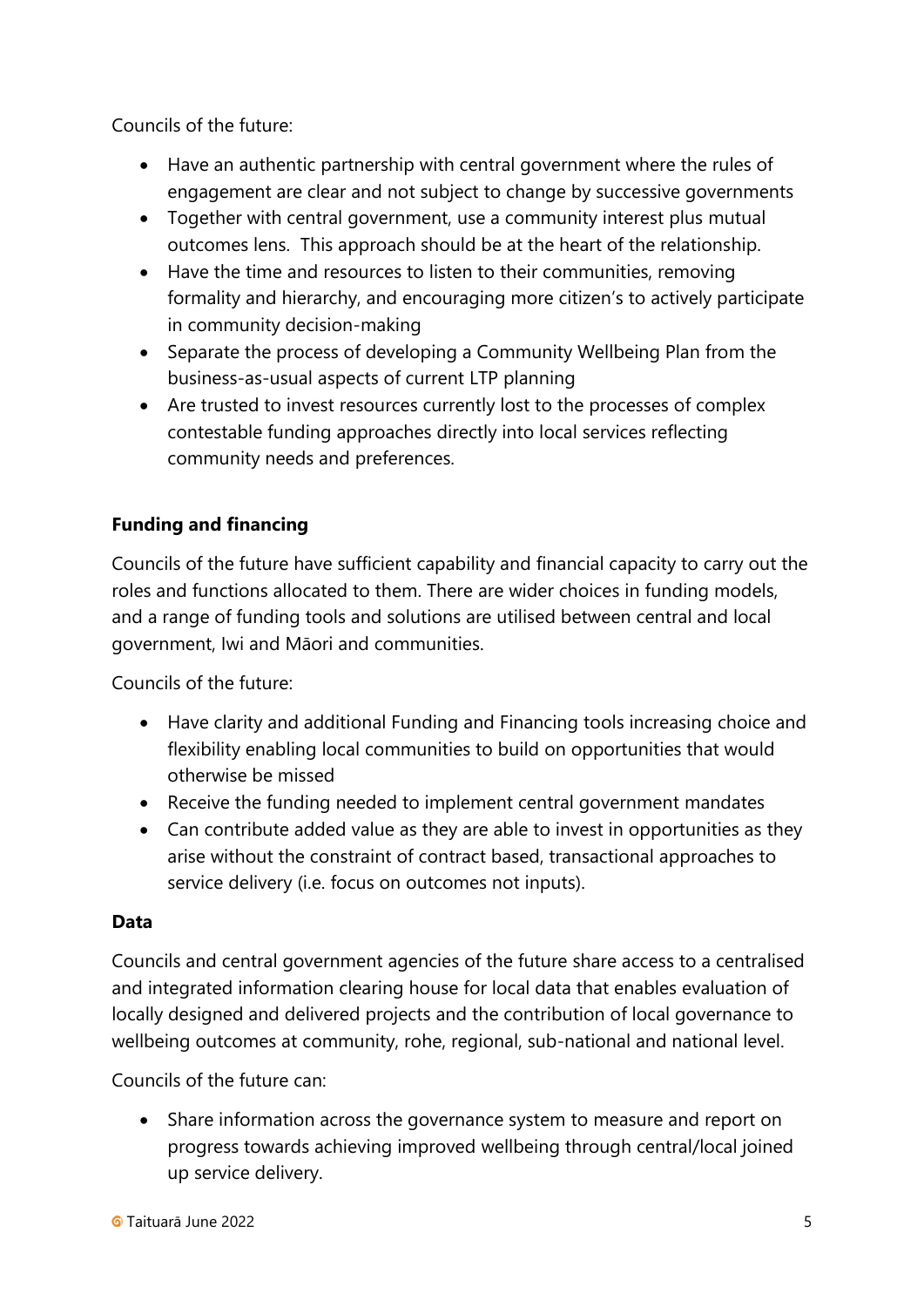Councils of the future:

- Have an authentic partnership with central government where the rules of engagement are clear and not subject to change by successive governments
- Together with central government, use a community interest plus mutual outcomes lens. This approach should be at the heart of the relationship.
- Have the time and resources to listen to their communities, removing formality and hierarchy, and encouraging more citizen's to actively participate in community decision-making
- Separate the process of developing a Community Wellbeing Plan from the business-as-usual aspects of current LTP planning
- Are trusted to invest resources currently lost to the processes of complex contestable funding approaches directly into local services reflecting community needs and preferences.

# **Funding and financing**

Councils of the future have sufficient capability and financial capacity to carry out the roles and functions allocated to them. There are wider choices in funding models, and a range of funding tools and solutions are utilised between central and local government, Iwi and Māori and communities.

Councils of the future:

- Have clarity and additional Funding and Financing tools increasing choice and flexibility enabling local communities to build on opportunities that would otherwise be missed
- Receive the funding needed to implement central government mandates
- Can contribute added value as they are able to invest in opportunities as they arise without the constraint of contract based, transactional approaches to service delivery (i.e. focus on outcomes not inputs).

#### **Data**

Councils and central government agencies of the future share access to a centralised and integrated information clearing house for local data that enables evaluation of locally designed and delivered projects and the contribution of local governance to wellbeing outcomes at community, rohe, regional, sub-national and national level.

Councils of the future can:

• Share information across the governance system to measure and report on progress towards achieving improved wellbeing through central/local joined up service delivery.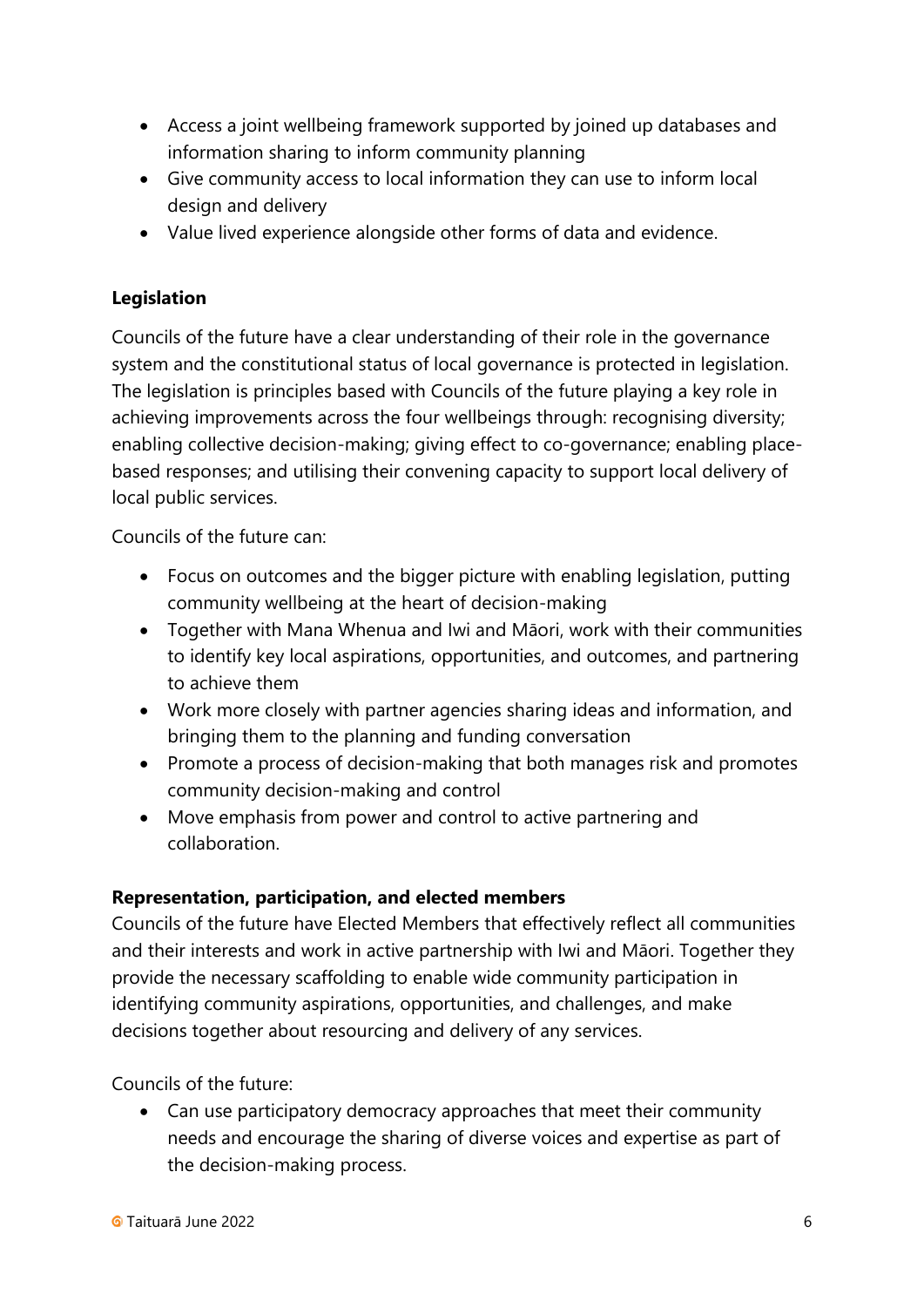- Access a joint wellbeing framework supported by joined up databases and information sharing to inform community planning
- Give community access to local information they can use to inform local design and delivery
- Value lived experience alongside other forms of data and evidence.

### **Legislation**

Councils of the future have a clear understanding of their role in the governance system and the constitutional status of local governance is protected in legislation. The legislation is principles based with Councils of the future playing a key role in achieving improvements across the four wellbeings through: recognising diversity; enabling collective decision-making; giving effect to co-governance; enabling placebased responses; and utilising their convening capacity to support local delivery of local public services.

Councils of the future can:

- Focus on outcomes and the bigger picture with enabling legislation, putting community wellbeing at the heart of decision-making
- Together with Mana Whenua and Iwi and Māori, work with their communities to identify key local aspirations, opportunities, and outcomes, and partnering to achieve them
- Work more closely with partner agencies sharing ideas and information, and bringing them to the planning and funding conversation
- Promote a process of decision-making that both manages risk and promotes community decision-making and control
- Move emphasis from power and control to active partnering and collaboration.

#### **Representation, participation, and elected members**

Councils of the future have Elected Members that effectively reflect all communities and their interests and work in active partnership with Iwi and Māori. Together they provide the necessary scaffolding to enable wide community participation in identifying community aspirations, opportunities, and challenges, and make decisions together about resourcing and delivery of any services.

Councils of the future:

• Can use participatory democracy approaches that meet their community needs and encourage the sharing of diverse voices and expertise as part of the decision-making process.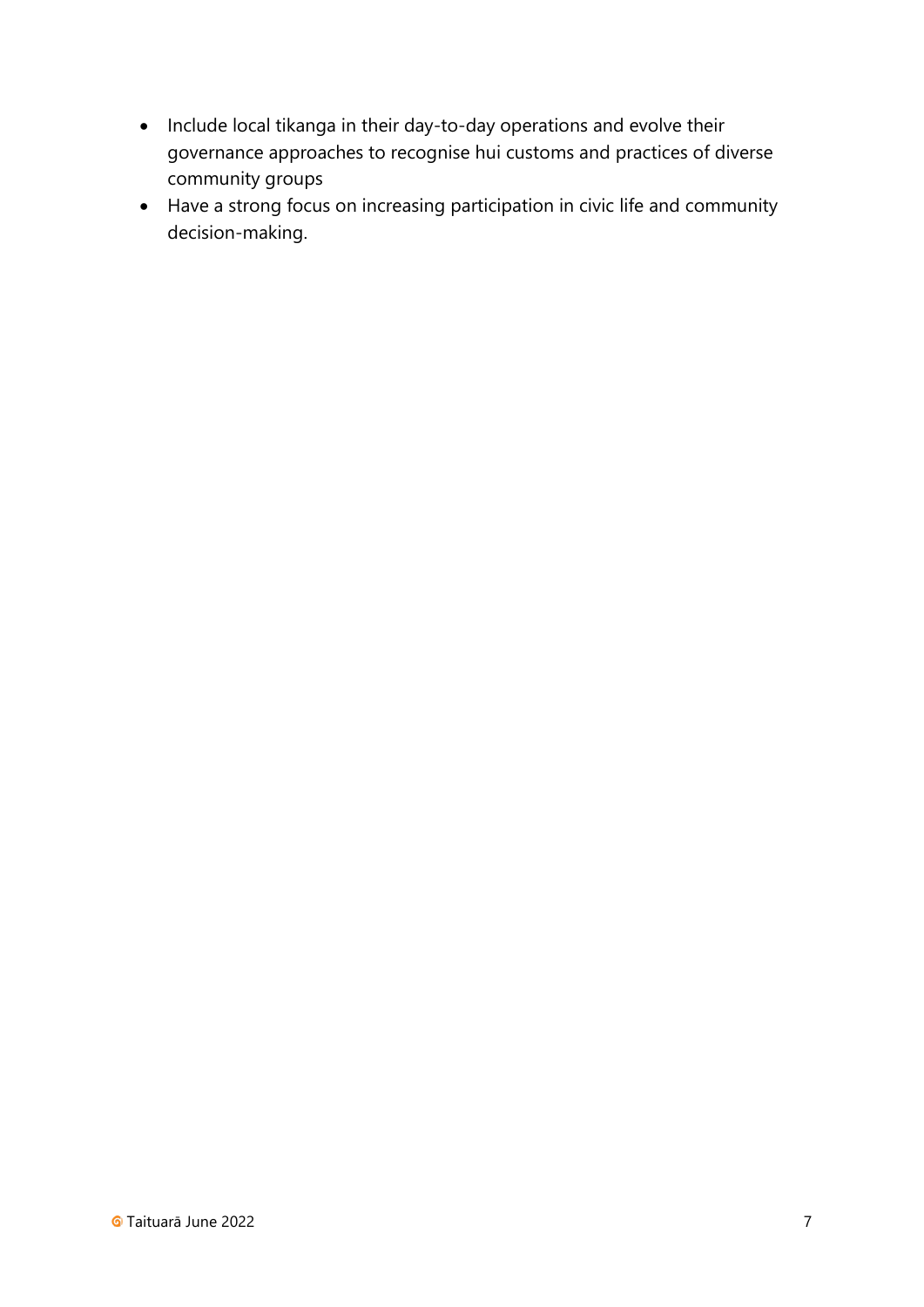- Include local tikanga in their day-to-day operations and evolve their governance approaches to recognise hui customs and practices of diverse community groups
- Have a strong focus on increasing participation in civic life and community decision-making.